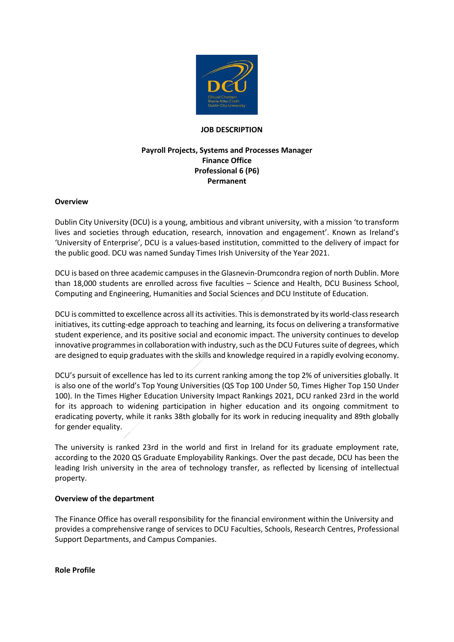

### **JOB DESCRIPTION**

# **Payroll Projects, Systems and Processes Manager Finance Office Professional 6 (P6) Permanent**

### **Overview**

Dublin City University (DCU) is a young, ambitious and vibrant university, with a mission 'to transform lives and societies through education, research, innovation and engagement'. Known as Ireland's 'University of Enterprise', DCU is a values-based institution, committed to the delivery of impact for the public good. DCU was named Sunday Times Irish University of the Year 2021.

DCU is based on three academic campuses in the Glasnevin-Drumcondra region of north Dublin. More than 18,000 students are enrolled across five faculties – Science and Health, DCU Business School, Computing and Engineering, Humanities and Social Sciences and DCU Institute of Education.

DCU is committed to excellence across all its activities. This is demonstrated by its world-class research initiatives, its cutting-edge approach to teaching and learning, its focus on delivering a transformative student experience, and its positive social and economic impact. The university continues to develop innovative programmes in collaboration with industry, such as the DCU Futures suite of degrees, which are designed to equip graduates with the skills and knowledge required in a rapidly evolving economy.

DCU's pursuit of excellence has led to its current ranking among the top 2% of universities globally. It is also one of the world's Top Young Universities (QS Top 100 Under 50, Times Higher Top 150 Under 100). In the Times Higher Education University Impact Rankings 2021, DCU ranked 23rd in the world for its approach to widening participation in higher education and its ongoing commitment to eradicating poverty, while it ranks 38th globally for its work in reducing inequality and 89th globally for gender equality.

The university is ranked 23rd in the world and first in Ireland for its graduate employment rate, according to the 2020 QS Graduate Employability Rankings. Over the past decade, DCU has been the leading Irish university in the area of technology transfer, as reflected by licensing of intellectual property.

### **Overview of the department**

The Finance Office has overall responsibility for the financial environment within the University and provides a comprehensive range of services to DCU Faculties, Schools, Research Centres, Professional Support Departments, and Campus Companies.

**Role Profile**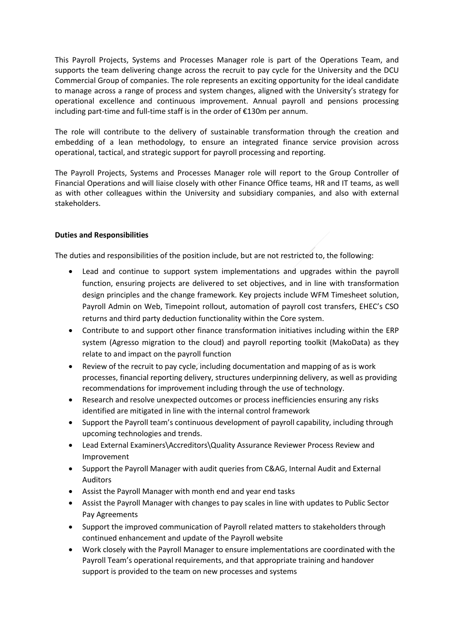This Payroll Projects, Systems and Processes Manager role is part of the Operations Team, and supports the team delivering change across the recruit to pay cycle for the University and the DCU Commercial Group of companies. The role represents an exciting opportunity for the ideal candidate to manage across a range of process and system changes, aligned with the University's strategy for operational excellence and continuous improvement. Annual payroll and pensions processing including part-time and full-time staff is in the order of €130m per annum.

The role will contribute to the delivery of sustainable transformation through the creation and embedding of a lean methodology, to ensure an integrated finance service provision across operational, tactical, and strategic support for payroll processing and reporting.

The Payroll Projects, Systems and Processes Manager role will report to the Group Controller of Financial Operations and will liaise closely with other Finance Office teams, HR and IT teams, as well as with other colleagues within the University and subsidiary companies, and also with external stakeholders.

# **Duties and Responsibilities**

The duties and responsibilities of the position include, but are not restricted to, the following:

- Lead and continue to support system implementations and upgrades within the payroll function, ensuring projects are delivered to set objectives, and in line with transformation design principles and the change framework. Key projects include WFM Timesheet solution, Payroll Admin on Web, Timepoint rollout, automation of payroll cost transfers, EHEC's CSO returns and third party deduction functionality within the Core system.
- Contribute to and support other finance transformation initiatives including within the ERP system (Agresso migration to the cloud) and payroll reporting toolkit (MakoData) as they relate to and impact on the payroll function
- Review of the recruit to pay cycle, including documentation and mapping of as is work processes, financial reporting delivery, structures underpinning delivery, as well as providing recommendations for improvement including through the use of technology.
- Research and resolve unexpected outcomes or process inefficiencies ensuring any risks identified are mitigated in line with the internal control framework
- Support the Payroll team's continuous development of payroll capability, including through upcoming technologies and trends.
- Lead External Examiners\Accreditors\Quality Assurance Reviewer Process Review and Improvement
- Support the Payroll Manager with audit queries from C&AG, Internal Audit and External Auditors
- Assist the Payroll Manager with month end and year end tasks
- Assist the Payroll Manager with changes to pay scales in line with updates to Public Sector Pay Agreements
- Support the improved communication of Payroll related matters to stakeholders through continued enhancement and update of the Payroll website
- Work closely with the Payroll Manager to ensure implementations are coordinated with the Payroll Team's operational requirements, and that appropriate training and handover support is provided to the team on new processes and systems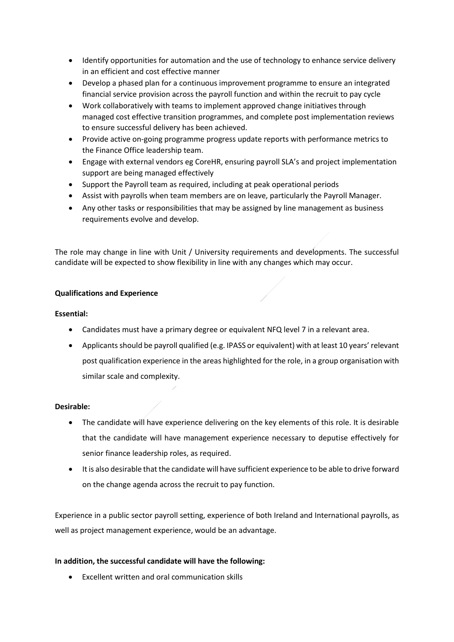- Identify opportunities for automation and the use of technology to enhance service delivery in an efficient and cost effective manner
- Develop a phased plan for a continuous improvement programme to ensure an integrated financial service provision across the payroll function and within the recruit to pay cycle
- Work collaboratively with teams to implement approved change initiatives through managed cost effective transition programmes, and complete post implementation reviews to ensure successful delivery has been achieved.
- Provide active on-going programme progress update reports with performance metrics to the Finance Office leadership team.
- Engage with external vendors eg CoreHR, ensuring payroll SLA's and project implementation support are being managed effectively
- Support the Payroll team as required, including at peak operational periods
- Assist with payrolls when team members are on leave, particularly the Payroll Manager.
- Any other tasks or responsibilities that may be assigned by line management as business requirements evolve and develop.

The role may change in line with Unit / University requirements and developments. The successful candidate will be expected to show flexibility in line with any changes which may occur.

# **Qualifications and Experience**

# **Essential:**

- Candidates must have a primary degree or equivalent NFQ level 7 in a relevant area.
- Applicants should be payroll qualified (e.g. IPASS or equivalent) with at least 10 years' relevant post qualification experience in the areas highlighted for the role, in a group organisation with similar scale and complexity.

### **Desirable:**

- The candidate will have experience delivering on the key elements of this role. It is desirable that the candidate will have management experience necessary to deputise effectively for senior finance leadership roles, as required.
- It is also desirable that the candidate will have sufficient experience to be able to drive forward on the change agenda across the recruit to pay function.

Experience in a public sector payroll setting, experience of both Ireland and International payrolls, as well as project management experience, would be an advantage.

### **In addition, the successful candidate will have the following:**

Excellent written and oral communication skills